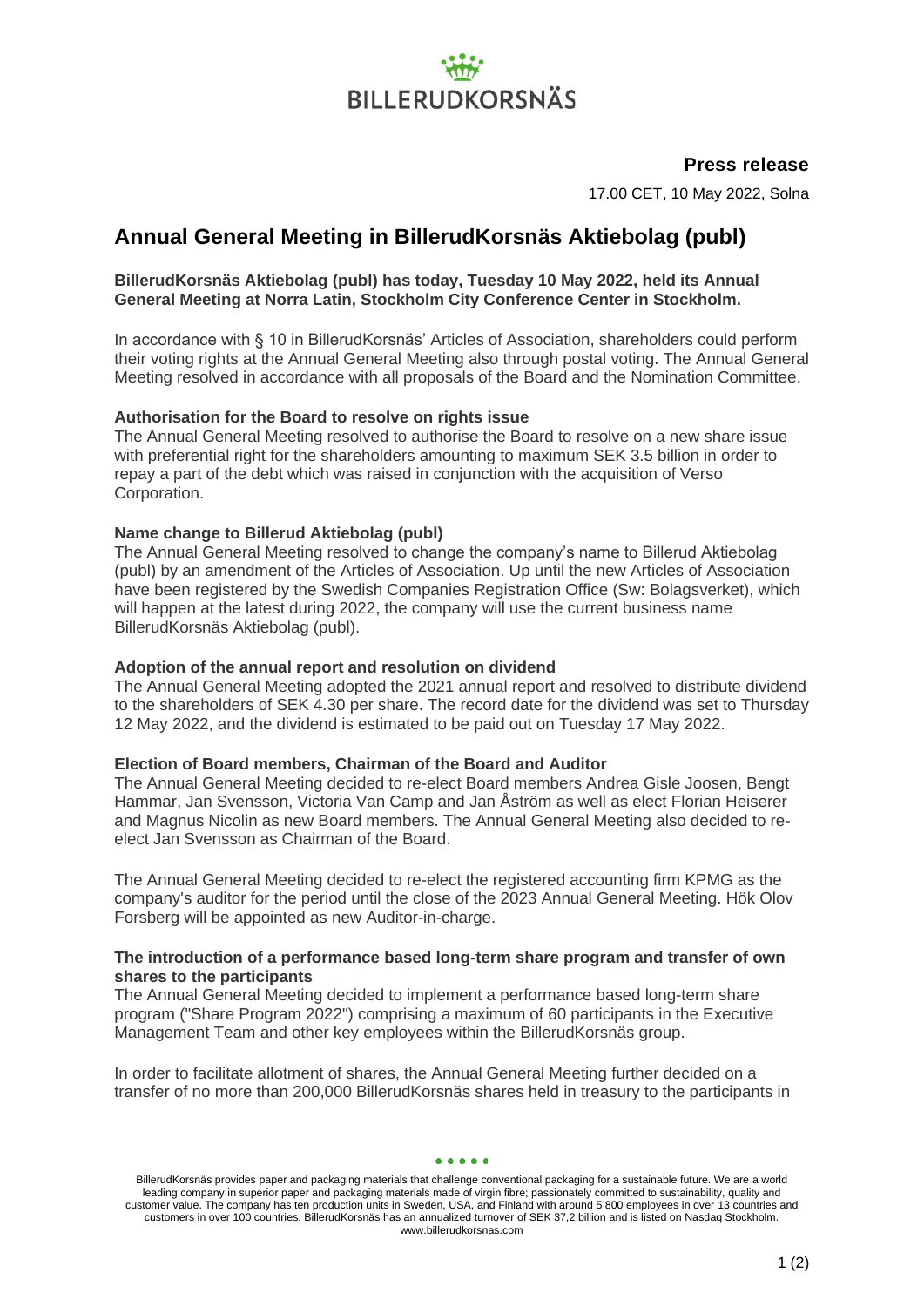# **BILLERUDKORSNÄS**

### **Press release**

17.00 CET, 10 May 2022, Solna

## **Annual General Meeting in BillerudKorsnäs Aktiebolag (publ)**

#### **BillerudKorsnäs Aktiebolag (publ) has today, Tuesday 10 May 2022, held its Annual General Meeting at Norra Latin, Stockholm City Conference Center in Stockholm.**

In accordance with § 10 in BillerudKorsnäs' Articles of Association, shareholders could perform their voting rights at the Annual General Meeting also through postal voting. The Annual General Meeting resolved in accordance with all proposals of the Board and the Nomination Committee.

#### **Authorisation for the Board to resolve on rights issue**

The Annual General Meeting resolved to authorise the Board to resolve on a new share issue with preferential right for the shareholders amounting to maximum SEK 3.5 billion in order to repay a part of the debt which was raised in conjunction with the acquisition of Verso Corporation.

#### **Name change to Billerud Aktiebolag (publ)**

The Annual General Meeting resolved to change the company's name to Billerud Aktiebolag (publ) by an amendment of the Articles of Association. Up until the new Articles of Association have been registered by the Swedish Companies Registration Office (Sw: Bolagsverket), which will happen at the latest during 2022, the company will use the current business name BillerudKorsnäs Aktiebolag (publ).

#### **Adoption of the annual report and resolution on dividend**

The Annual General Meeting adopted the 2021 annual report and resolved to distribute dividend to the shareholders of SEK 4.30 per share. The record date for the dividend was set to Thursday 12 May 2022, and the dividend is estimated to be paid out on Tuesday 17 May 2022.

#### **Election of Board members, Chairman of the Board and Auditor**

The Annual General Meeting decided to re-elect Board members Andrea Gisle Joosen, Bengt Hammar, Jan Svensson, Victoria Van Camp and Jan Åström as well as elect Florian Heiserer and Magnus Nicolin as new Board members. The Annual General Meeting also decided to reelect Jan Svensson as Chairman of the Board.

The Annual General Meeting decided to re-elect the registered accounting firm KPMG as the company's auditor for the period until the close of the 2023 Annual General Meeting. Hök Olov Forsberg will be appointed as new Auditor-in-charge.

#### **The introduction of a performance based long-term share program and transfer of own shares to the participants**

The Annual General Meeting decided to implement a performance based long-term share program ("Share Program 2022") comprising a maximum of 60 participants in the Executive Management Team and other key employees within the BillerudKorsnäs group.

In order to facilitate allotment of shares, the Annual General Meeting further decided on a transfer of no more than 200,000 BillerudKorsnäs shares held in treasury to the participants in

BillerudKorsnäs provides paper and packaging materials that challenge conventional packaging for a sustainable future. We are a world leading company in superior paper and packaging materials made of virgin fibre; passionately committed to sustainability, quality and customer value. The company has ten production units in Sweden, USA, and Finland with around 5 800 employees in over 13 countries and customers in over 100 countries. BillerudKorsnäs has an annualized turnover of SEK 37,2 billion and is listed on Nasdaq Stockholm. www.billerudkorsnas.com

 $\bullet\bullet\bullet\bullet\bullet$